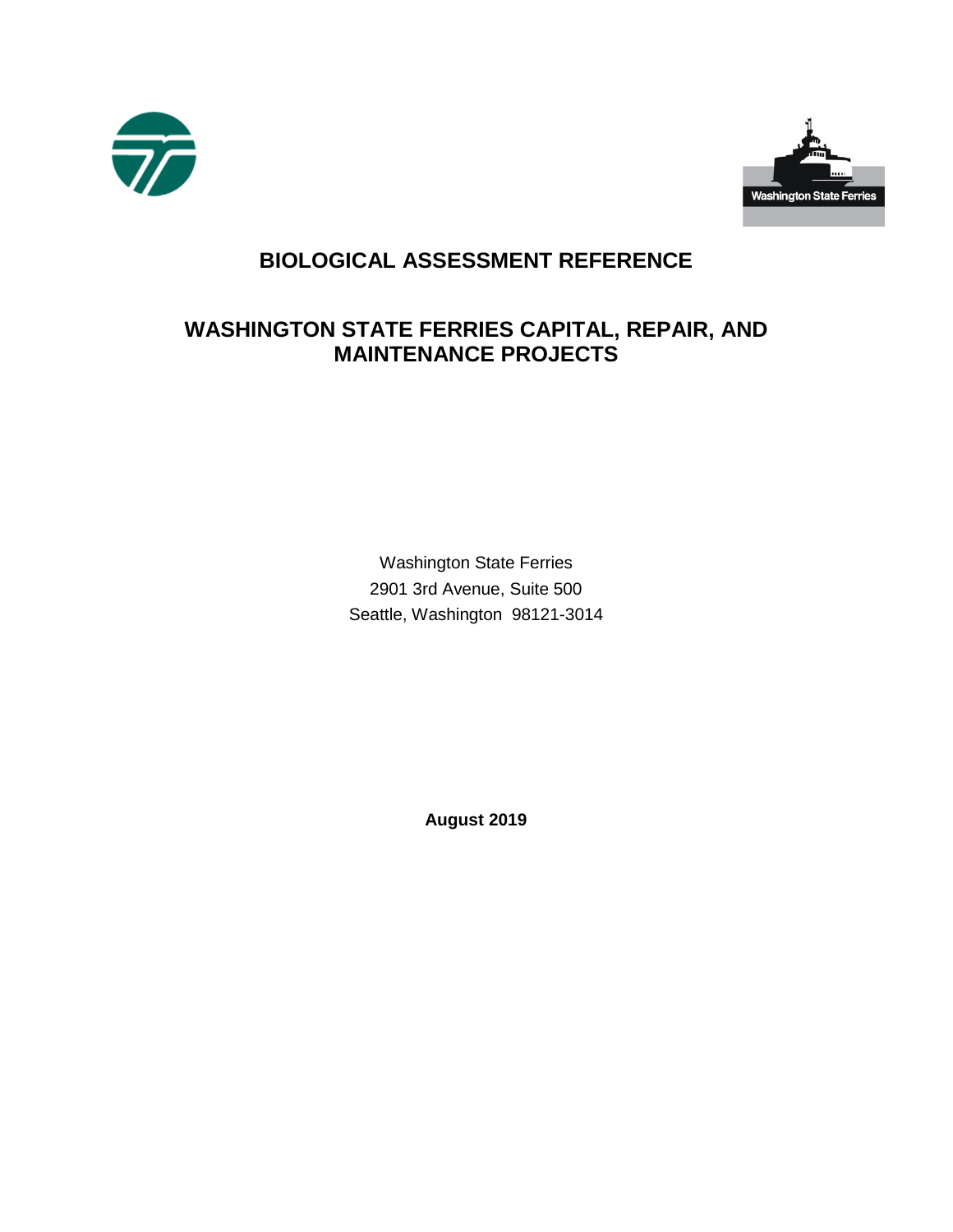



# **BIOLOGICAL ASSESSMENT REFERENCE**

# **WASHINGTON STATE FERRIES CAPITAL, REPAIR, AND MAINTENANCE PROJECTS**

Washington State Ferries 2901 3rd Avenue, Suite 500 Seattle, Washington 98121-3014

 **August 2019**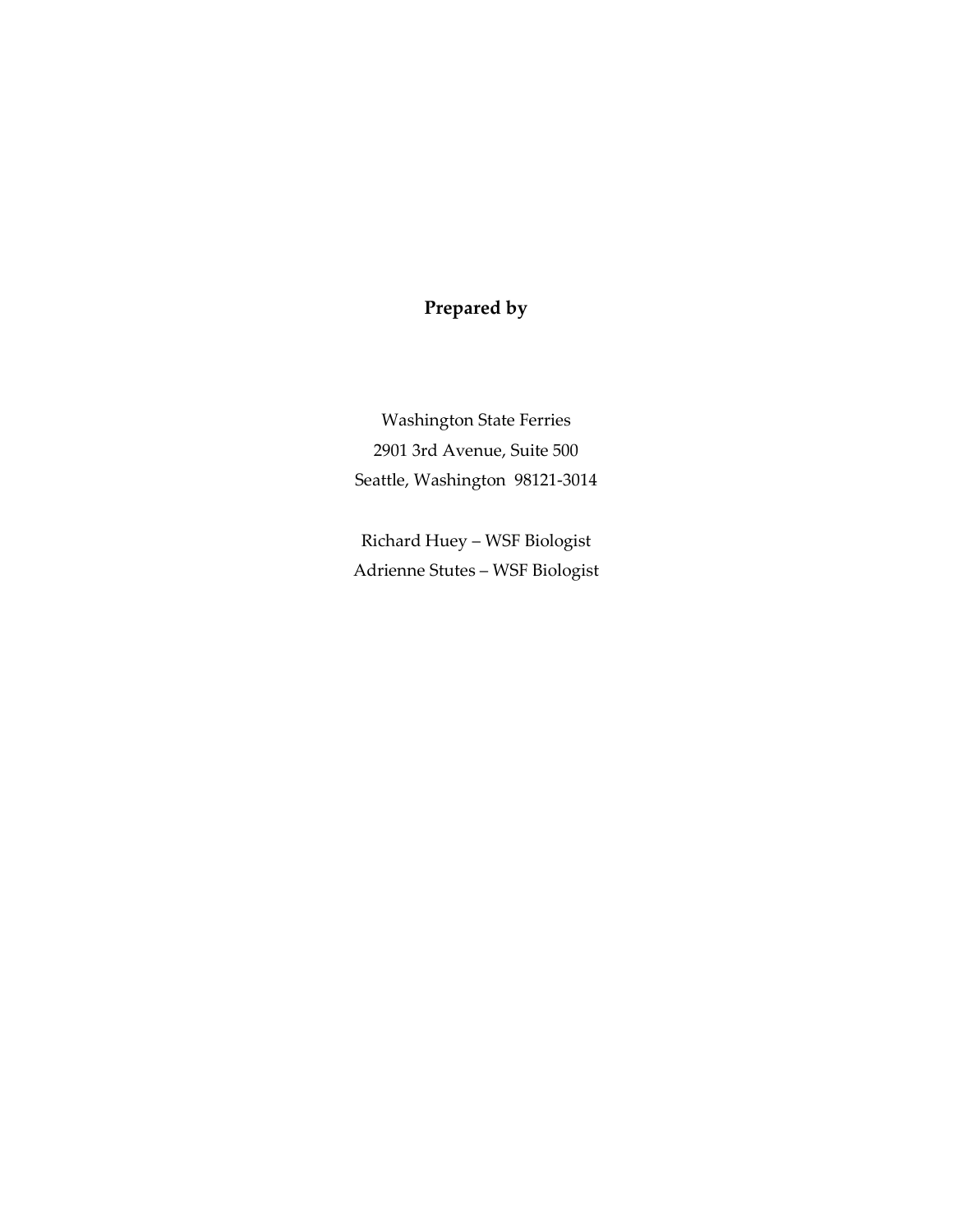### **Prepared by**

Washington State Ferries 2901 3rd Avenue, Suite 500 Seattle, Washington 98121-3014

Richard Huey – WSF Biologist Adrienne Stutes – WSF Biologist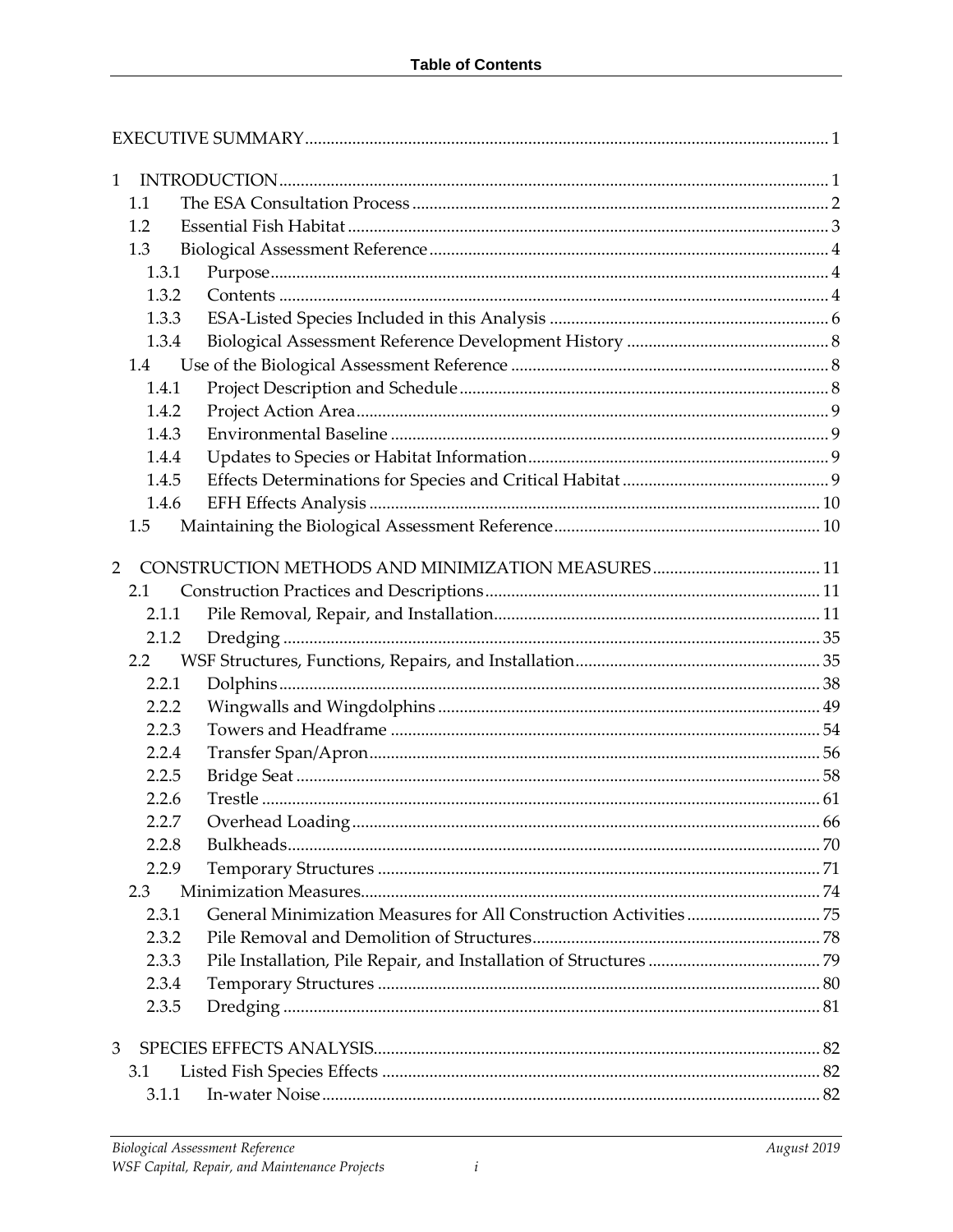| $\mathbf{1}$   |                  |      |
|----------------|------------------|------|
| 1.1            |                  |      |
| 1.2            |                  |      |
| 1.3            |                  |      |
| 1.3.1          |                  |      |
| 1.3.2          |                  |      |
| 1.3.3          |                  |      |
| 1.3.4          |                  |      |
| 1.4            |                  |      |
| 1.4.1          |                  |      |
| 1.4.2          |                  |      |
| 1.4.3          |                  |      |
| 1.4.4          |                  |      |
| 1.4.5          |                  |      |
| 1.4.6          |                  |      |
| 1.5            |                  |      |
| $\overline{2}$ |                  |      |
| 2.1            |                  |      |
| 2.1.1          |                  |      |
| 2.1.2          |                  |      |
| $2.2^{\circ}$  |                  |      |
| 2.2.1          |                  |      |
| 2.2.2          |                  |      |
| 2.2.3          |                  |      |
| 2.2.4          |                  |      |
| 2.2.5          |                  |      |
| 2.2.6          |                  |      |
| 2.2.7          | Overhead Loading | . 66 |
| 2.2.8          |                  |      |
| 2.2.9          |                  |      |
| 2.3            |                  |      |
| 2.3.1          |                  |      |
| 2.3.2          |                  |      |
| 2.3.3          |                  |      |
| 2.3.4          |                  |      |
| 2.3.5          |                  |      |
| 3              |                  |      |
| 3.1            |                  |      |
| 3.1.1          |                  |      |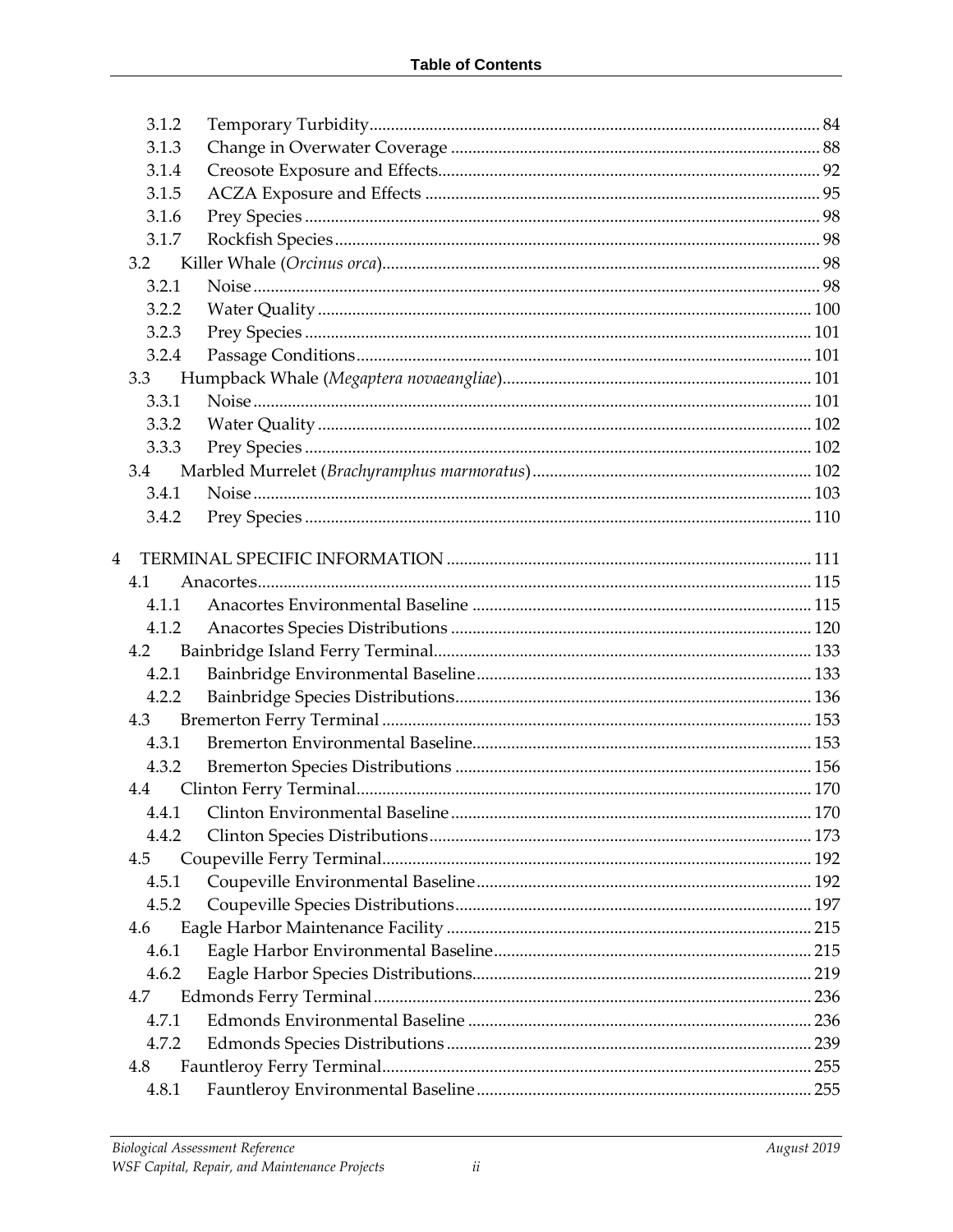| 3.1.2          |  |
|----------------|--|
| 3.1.3          |  |
| 3.1.4          |  |
| 3.1.5          |  |
| 3.1.6          |  |
| 3.1.7          |  |
| 3.2            |  |
| 3.2.1          |  |
| 3.2.2          |  |
| 3.2.3          |  |
| 3.2.4          |  |
| 3.3            |  |
| 3.3.1          |  |
| 3.3.2          |  |
| 3.3.3          |  |
| 3.4            |  |
| 3.4.1          |  |
| 3.4.2          |  |
|                |  |
| $\overline{4}$ |  |
| 4.1            |  |
| 4.1.1          |  |
| 4.1.2          |  |
| 4.2            |  |
| 4.2.1          |  |
| 4.2.2          |  |
| 4.3            |  |
| 4.3.1          |  |
| 4.3.2          |  |
| 4.4            |  |
| 4.4.1          |  |
| 4.4.2          |  |
| 4.5            |  |
| 4.5.1          |  |
| 4.5.2          |  |
| 4.6            |  |
| 4.6.1          |  |
| 4.6.2          |  |
| 4.7            |  |
| 4.7.1          |  |
| 4.7.2          |  |
| 4.8            |  |
| 4.8.1          |  |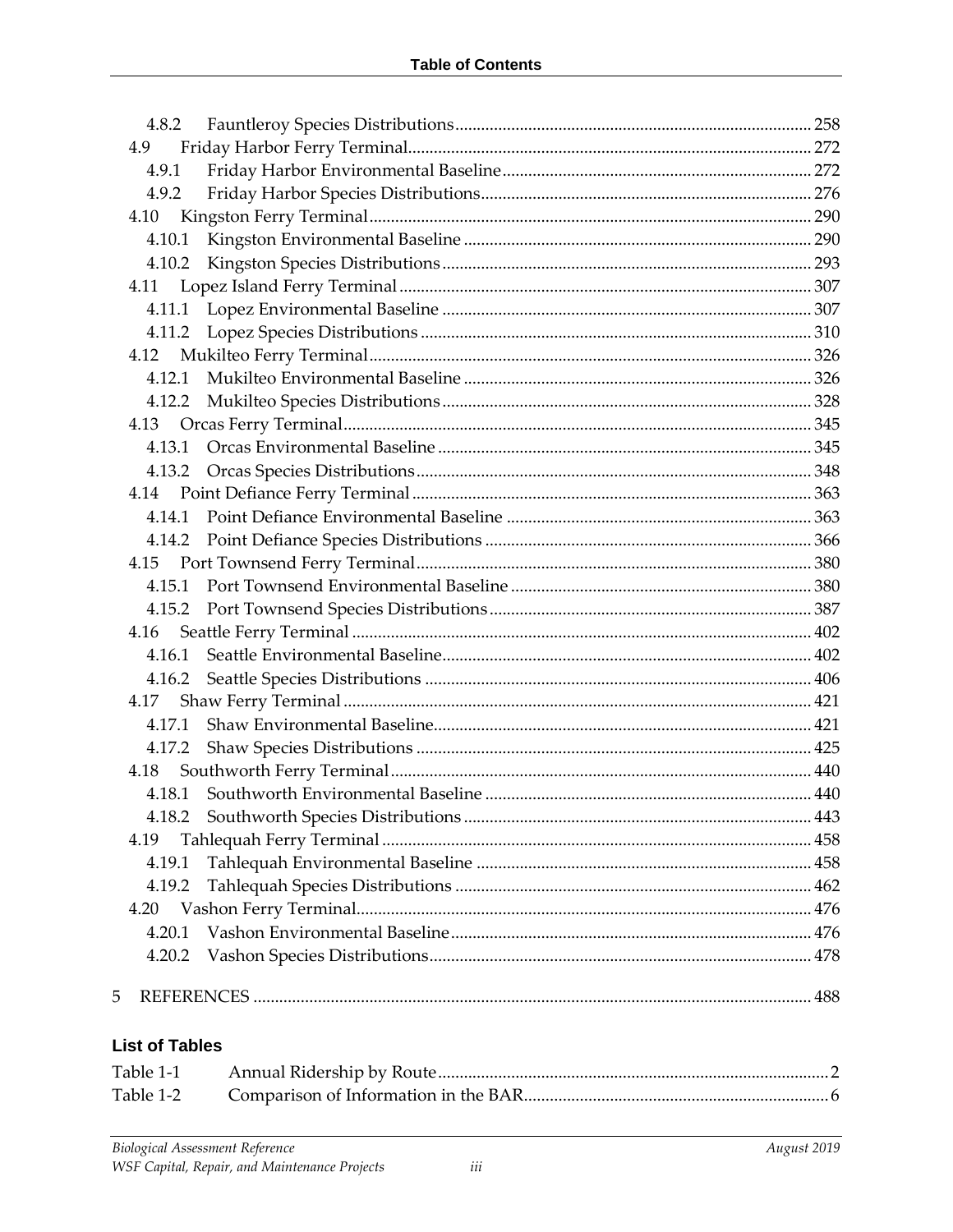| 4.8.2  |  |
|--------|--|
| 4.9    |  |
| 4.9.1  |  |
| 4.9.2  |  |
|        |  |
| 4.10.1 |  |
| 4.10.2 |  |
|        |  |
|        |  |
|        |  |
|        |  |
| 4.12.1 |  |
|        |  |
|        |  |
| 4.13.1 |  |
|        |  |
|        |  |
| 4.14.1 |  |
|        |  |
|        |  |
| 4.15.1 |  |
|        |  |
|        |  |
| 4.16.1 |  |
|        |  |
|        |  |
|        |  |
| 4.17.2 |  |
| 4.18   |  |
|        |  |
|        |  |
| 4.19   |  |
| 4.19.1 |  |
| 4.19.2 |  |
| 4.20   |  |
| 4.20.1 |  |
| 4.20.2 |  |
| 5      |  |

#### **List of Tables**

| Table 1-1 |  |
|-----------|--|
|           |  |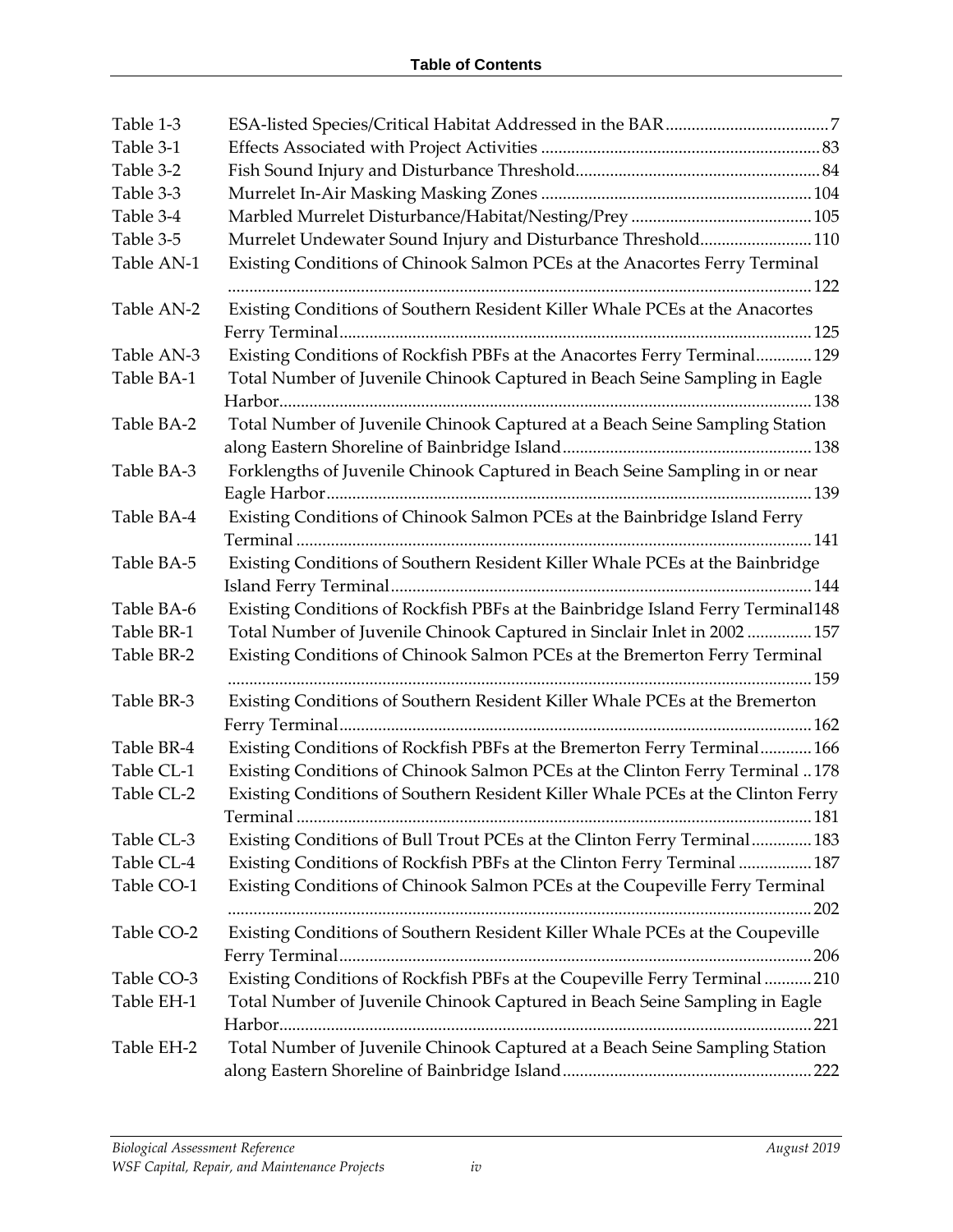| Table 1-3  |                                                                                    |
|------------|------------------------------------------------------------------------------------|
| Table 3-1  |                                                                                    |
| Table 3-2  |                                                                                    |
| Table 3-3  |                                                                                    |
| Table 3-4  |                                                                                    |
| Table 3-5  | Murrelet Undewater Sound Injury and Disturbance Threshold 110                      |
| Table AN-1 | Existing Conditions of Chinook Salmon PCEs at the Anacortes Ferry Terminal         |
| Table AN-2 | Existing Conditions of Southern Resident Killer Whale PCEs at the Anacortes        |
| Table AN-3 |                                                                                    |
| Table BA-1 | Existing Conditions of Rockfish PBFs at the Anacortes Ferry Terminal 129           |
|            | Total Number of Juvenile Chinook Captured in Beach Seine Sampling in Eagle         |
| Table BA-2 | Total Number of Juvenile Chinook Captured at a Beach Seine Sampling Station        |
| Table BA-3 | Forklengths of Juvenile Chinook Captured in Beach Seine Sampling in or near        |
|            |                                                                                    |
| Table BA-4 | Existing Conditions of Chinook Salmon PCEs at the Bainbridge Island Ferry          |
| Table BA-5 | Existing Conditions of Southern Resident Killer Whale PCEs at the Bainbridge       |
| Table BA-6 | Existing Conditions of Rockfish PBFs at the Bainbridge Island Ferry Terminal148    |
| Table BR-1 | Total Number of Juvenile Chinook Captured in Sinclair Inlet in 2002  157           |
| Table BR-2 | Existing Conditions of Chinook Salmon PCEs at the Bremerton Ferry Terminal         |
| Table BR-3 | Existing Conditions of Southern Resident Killer Whale PCEs at the Bremerton        |
| Table BR-4 | Existing Conditions of Rockfish PBFs at the Bremerton Ferry Terminal 166           |
| Table CL-1 | Existing Conditions of Chinook Salmon PCEs at the Clinton Ferry Terminal 178       |
| Table CL-2 | Existing Conditions of Southern Resident Killer Whale PCEs at the Clinton Ferry    |
| Table CL-3 | Existing Conditions of Bull Trout PCEs at the Clinton Ferry Terminal 183           |
| Table CL-4 | Existing Conditions of Rockfish PBFs at the Clinton Ferry Terminal  187            |
| Table CO-1 | Existing Conditions of Chinook Salmon PCEs at the Coupeville Ferry Terminal<br>202 |
| Table CO-2 | Existing Conditions of Southern Resident Killer Whale PCEs at the Coupeville       |
| Table CO-3 | Existing Conditions of Rockfish PBFs at the Coupeville Ferry Terminal 210          |
| Table EH-1 | Total Number of Juvenile Chinook Captured in Beach Seine Sampling in Eagle         |
| Table EH-2 | Total Number of Juvenile Chinook Captured at a Beach Seine Sampling Station        |
|            |                                                                                    |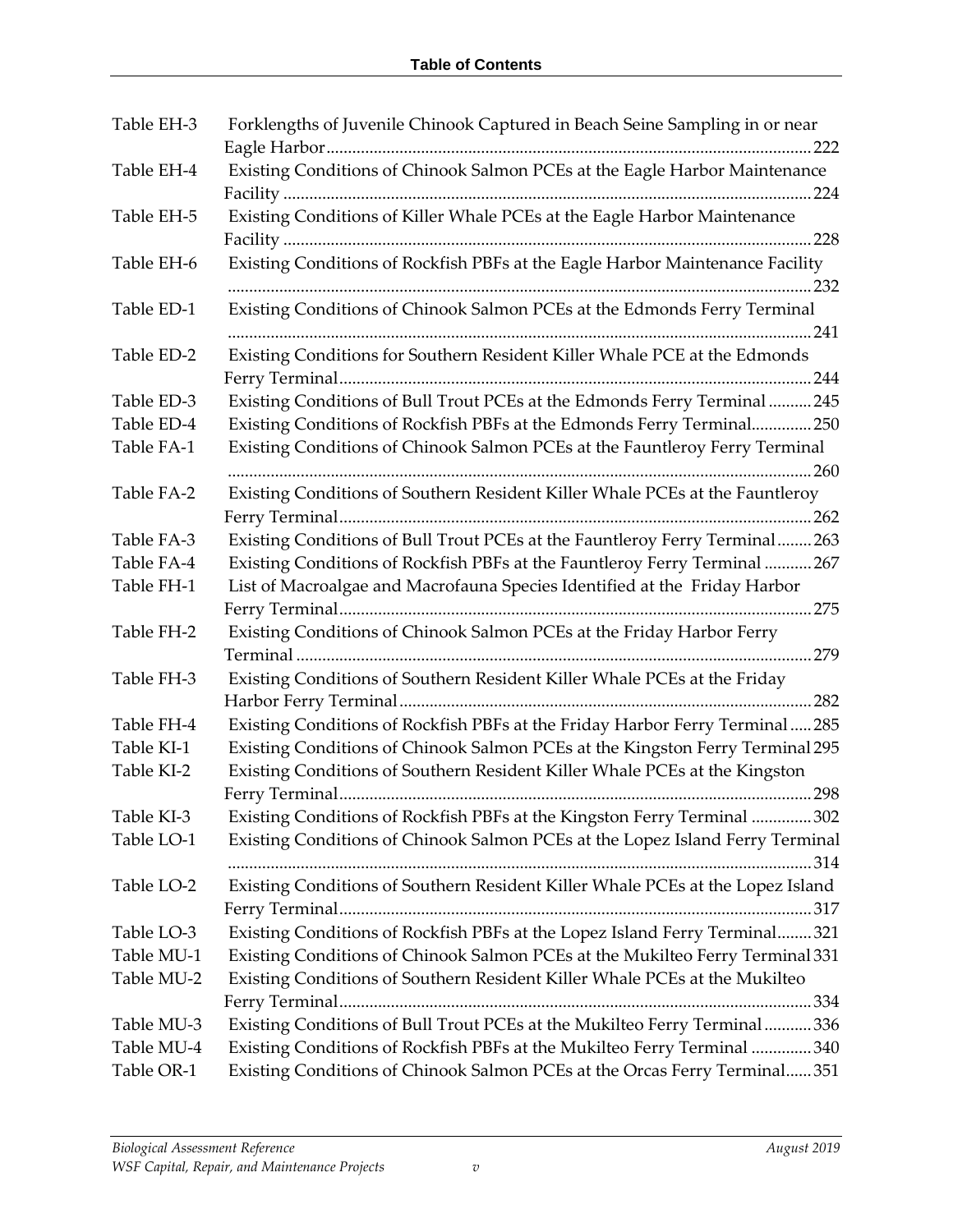| Table EH-3 | Forklengths of Juvenile Chinook Captured in Beach Seine Sampling in or near    |
|------------|--------------------------------------------------------------------------------|
| Table EH-4 | Existing Conditions of Chinook Salmon PCEs at the Eagle Harbor Maintenance     |
| Table EH-5 | Existing Conditions of Killer Whale PCEs at the Eagle Harbor Maintenance       |
| Table EH-6 | Existing Conditions of Rockfish PBFs at the Eagle Harbor Maintenance Facility  |
| Table ED-1 | Existing Conditions of Chinook Salmon PCEs at the Edmonds Ferry Terminal       |
| Table ED-2 |                                                                                |
|            | Existing Conditions for Southern Resident Killer Whale PCE at the Edmonds      |
| Table ED-3 | Existing Conditions of Bull Trout PCEs at the Edmonds Ferry Terminal 245       |
| Table ED-4 | Existing Conditions of Rockfish PBFs at the Edmonds Ferry Terminal250          |
| Table FA-1 | Existing Conditions of Chinook Salmon PCEs at the Fauntleroy Ferry Terminal    |
| Table FA-2 | Existing Conditions of Southern Resident Killer Whale PCEs at the Fauntleroy   |
|            |                                                                                |
| Table FA-3 | Existing Conditions of Bull Trout PCEs at the Fauntleroy Ferry Terminal263     |
| Table FA-4 | Existing Conditions of Rockfish PBFs at the Fauntleroy Ferry Terminal  267     |
| Table FH-1 | List of Macroalgae and Macrofauna Species Identified at the Friday Harbor      |
|            |                                                                                |
| Table FH-2 | Existing Conditions of Chinook Salmon PCEs at the Friday Harbor Ferry          |
| Table FH-3 | Existing Conditions of Southern Resident Killer Whale PCEs at the Friday       |
| Table FH-4 | Existing Conditions of Rockfish PBFs at the Friday Harbor Ferry Terminal285    |
| Table KI-1 | Existing Conditions of Chinook Salmon PCEs at the Kingston Ferry Terminal 295  |
| Table KI-2 | Existing Conditions of Southern Resident Killer Whale PCEs at the Kingston     |
|            |                                                                                |
| Table KI-3 | Existing Conditions of Rockfish PBFs at the Kingston Ferry Terminal 302        |
| Table LO-1 | Existing Conditions of Chinook Salmon PCEs at the Lopez Island Ferry Terminal  |
| Table LO-2 | Existing Conditions of Southern Resident Killer Whale PCEs at the Lopez Island |
| Table LO-3 | Existing Conditions of Rockfish PBFs at the Lopez Island Ferry Terminal321     |
| Table MU-1 | Existing Conditions of Chinook Salmon PCEs at the Mukilteo Ferry Terminal 331  |
| Table MU-2 | Existing Conditions of Southern Resident Killer Whale PCEs at the Mukilteo     |
|            |                                                                                |
| Table MU-3 | Existing Conditions of Bull Trout PCEs at the Mukilteo Ferry Terminal336       |
| Table MU-4 | Existing Conditions of Rockfish PBFs at the Mukilteo Ferry Terminal 340        |
| Table OR-1 | Existing Conditions of Chinook Salmon PCEs at the Orcas Ferry Terminal 351     |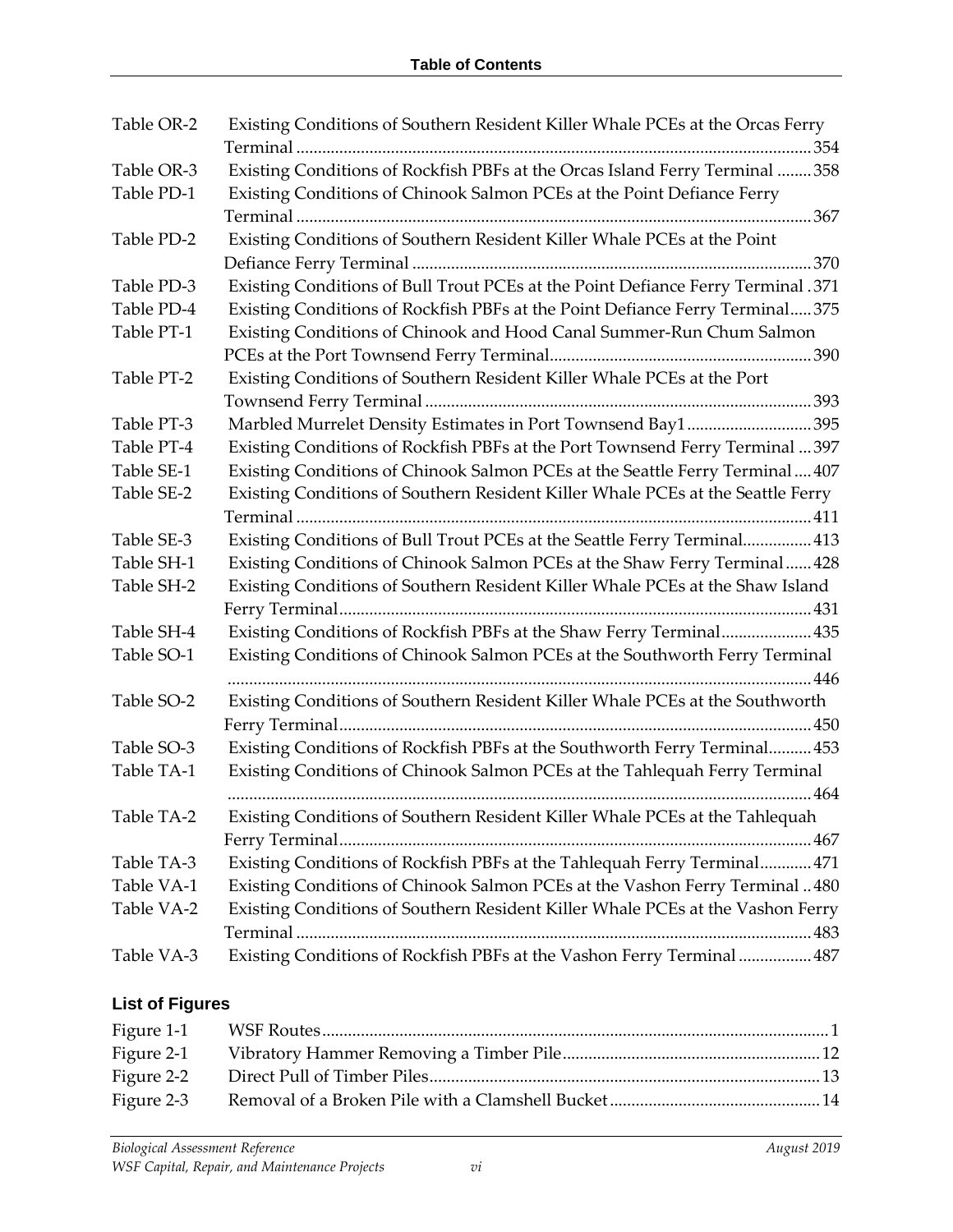| Table OR-2 | Existing Conditions of Southern Resident Killer Whale PCEs at the Orcas Ferry    |
|------------|----------------------------------------------------------------------------------|
| Table OR-3 | Existing Conditions of Rockfish PBFs at the Orcas Island Ferry Terminal  358     |
| Table PD-1 | Existing Conditions of Chinook Salmon PCEs at the Point Defiance Ferry           |
|            |                                                                                  |
| Table PD-2 | Existing Conditions of Southern Resident Killer Whale PCEs at the Point          |
|            |                                                                                  |
| Table PD-3 | Existing Conditions of Bull Trout PCEs at the Point Defiance Ferry Terminal .371 |
| Table PD-4 | Existing Conditions of Rockfish PBFs at the Point Defiance Ferry Terminal375     |
| Table PT-1 | Existing Conditions of Chinook and Hood Canal Summer-Run Chum Salmon             |
|            |                                                                                  |
| Table PT-2 | Existing Conditions of Southern Resident Killer Whale PCEs at the Port           |
|            |                                                                                  |
| Table PT-3 | Marbled Murrelet Density Estimates in Port Townsend Bay1395                      |
| Table PT-4 | Existing Conditions of Rockfish PBFs at the Port Townsend Ferry Terminal  397    |
| Table SE-1 | Existing Conditions of Chinook Salmon PCEs at the Seattle Ferry Terminal  407    |
| Table SE-2 | Existing Conditions of Southern Resident Killer Whale PCEs at the Seattle Ferry  |
|            |                                                                                  |
| Table SE-3 | Existing Conditions of Bull Trout PCEs at the Seattle Ferry Terminal 413         |
| Table SH-1 | Existing Conditions of Chinook Salmon PCEs at the Shaw Ferry Terminal 428        |
| Table SH-2 | Existing Conditions of Southern Resident Killer Whale PCEs at the Shaw Island    |
|            |                                                                                  |
| Table SH-4 | Existing Conditions of Rockfish PBFs at the Shaw Ferry Terminal 435              |
| Table SO-1 | Existing Conditions of Chinook Salmon PCEs at the Southworth Ferry Terminal      |
|            |                                                                                  |
| Table SO-2 | Existing Conditions of Southern Resident Killer Whale PCEs at the Southworth     |
|            |                                                                                  |
| Table SO-3 | Existing Conditions of Rockfish PBFs at the Southworth Ferry Terminal 453        |
| Table TA-1 | Existing Conditions of Chinook Salmon PCEs at the Tahlequah Ferry Terminal       |
|            |                                                                                  |
| Table TA-2 | Existing Conditions of Southern Resident Killer Whale PCEs at the Tahlequah      |
|            |                                                                                  |
| Table TA-3 | Existing Conditions of Rockfish PBFs at the Tahlequah Ferry Terminal 471         |
| Table VA-1 | Existing Conditions of Chinook Salmon PCEs at the Vashon Ferry Terminal480       |
| Table VA-2 | Existing Conditions of Southern Resident Killer Whale PCEs at the Vashon Ferry   |
|            |                                                                                  |
| Table VA-3 | Existing Conditions of Rockfish PBFs at the Vashon Ferry Terminal  487           |

### **List of Figures**

| Figure 2-2 |  |
|------------|--|
| Figure 2-3 |  |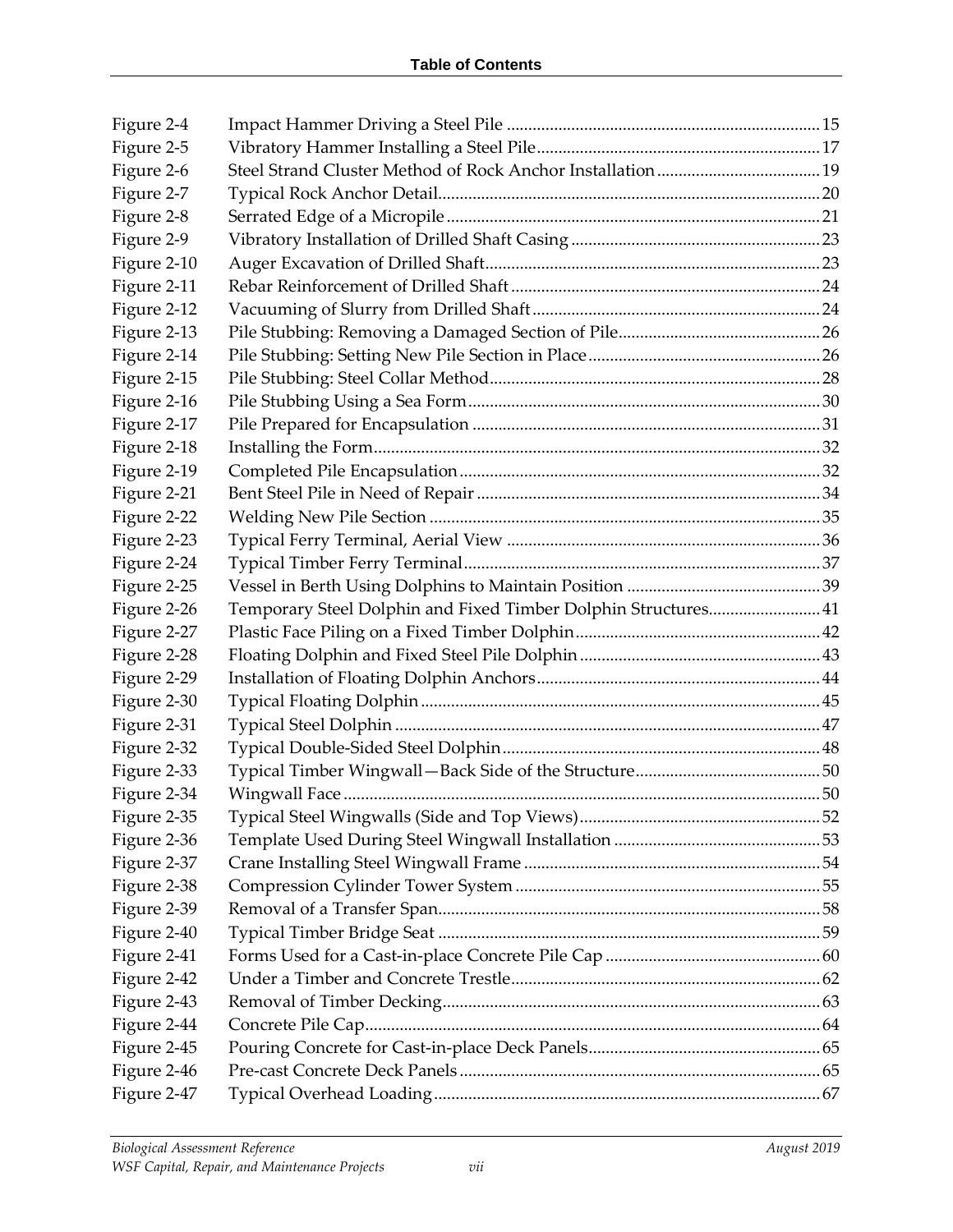| Figure 2-4  |                                                                |  |
|-------------|----------------------------------------------------------------|--|
| Figure 2-5  |                                                                |  |
| Figure 2-6  |                                                                |  |
| Figure 2-7  |                                                                |  |
| Figure 2-8  |                                                                |  |
| Figure 2-9  |                                                                |  |
| Figure 2-10 |                                                                |  |
| Figure 2-11 |                                                                |  |
| Figure 2-12 |                                                                |  |
| Figure 2-13 |                                                                |  |
| Figure 2-14 |                                                                |  |
| Figure 2-15 |                                                                |  |
| Figure 2-16 |                                                                |  |
| Figure 2-17 |                                                                |  |
| Figure 2-18 |                                                                |  |
| Figure 2-19 |                                                                |  |
| Figure 2-21 |                                                                |  |
| Figure 2-22 |                                                                |  |
| Figure 2-23 |                                                                |  |
| Figure 2-24 |                                                                |  |
| Figure 2-25 |                                                                |  |
| Figure 2-26 | Temporary Steel Dolphin and Fixed Timber Dolphin Structures 41 |  |
| Figure 2-27 |                                                                |  |
| Figure 2-28 |                                                                |  |
| Figure 2-29 |                                                                |  |
| Figure 2-30 |                                                                |  |
| Figure 2-31 |                                                                |  |
| Figure 2-32 |                                                                |  |
| Figure 2-33 |                                                                |  |
| Figure 2-34 |                                                                |  |
| Figure 2-35 |                                                                |  |
| Figure 2-36 |                                                                |  |
| Figure 2-37 |                                                                |  |
| Figure 2-38 |                                                                |  |
| Figure 2-39 |                                                                |  |
| Figure 2-40 |                                                                |  |
| Figure 2-41 |                                                                |  |
| Figure 2-42 |                                                                |  |
| Figure 2-43 |                                                                |  |
| Figure 2-44 |                                                                |  |
| Figure 2-45 |                                                                |  |
| Figure 2-46 |                                                                |  |
| Figure 2-47 |                                                                |  |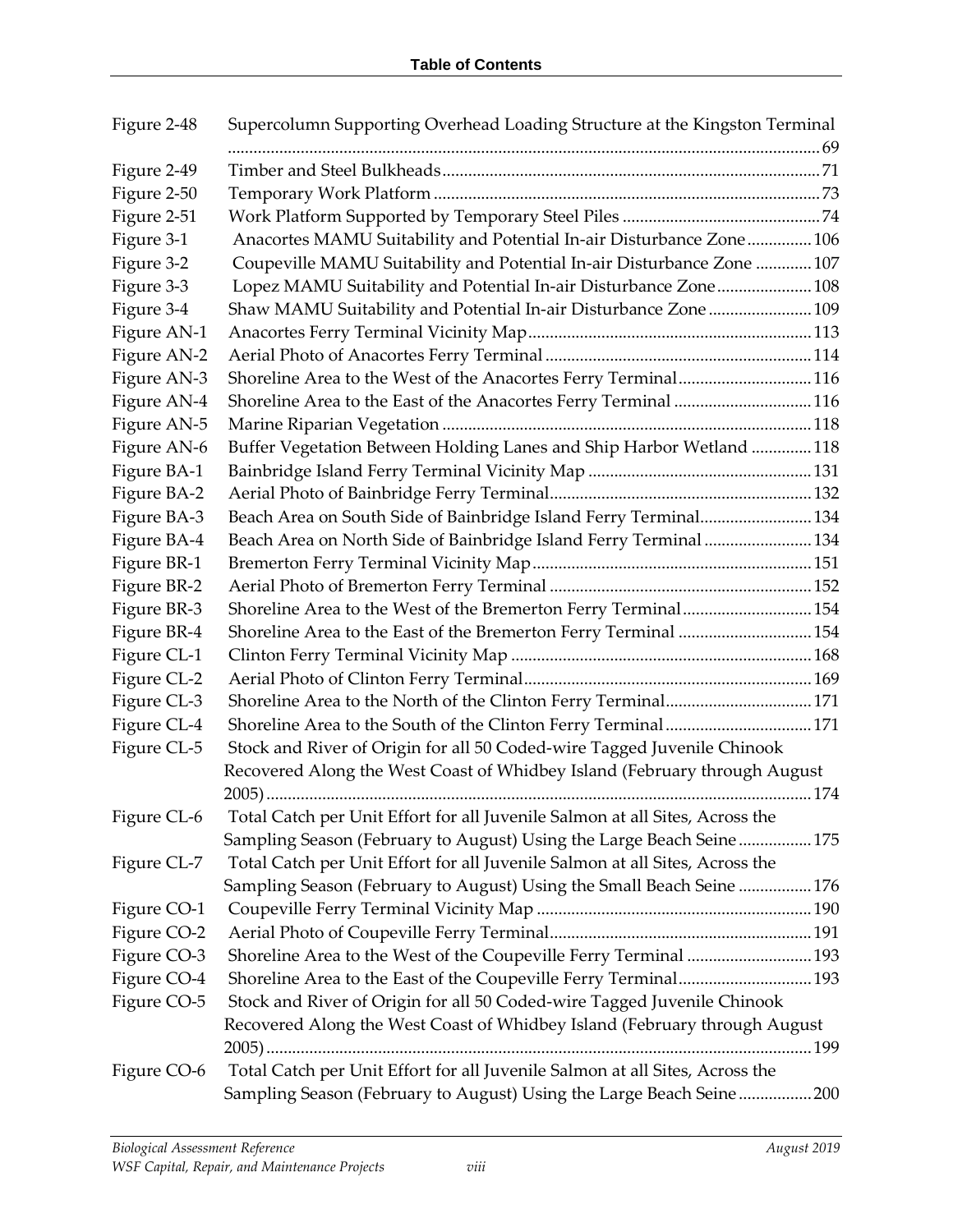| Figure 2-48 | Supercolumn Supporting Overhead Loading Structure at the Kingston Terminal   |  |
|-------------|------------------------------------------------------------------------------|--|
|             |                                                                              |  |
| Figure 2-49 |                                                                              |  |
| Figure 2-50 |                                                                              |  |
| Figure 2-51 |                                                                              |  |
| Figure 3-1  | Anacortes MAMU Suitability and Potential In-air Disturbance Zone 106         |  |
| Figure 3-2  | Coupeville MAMU Suitability and Potential In-air Disturbance Zone 107        |  |
| Figure 3-3  | Lopez MAMU Suitability and Potential In-air Disturbance Zone 108             |  |
| Figure 3-4  | Shaw MAMU Suitability and Potential In-air Disturbance Zone  109             |  |
| Figure AN-1 |                                                                              |  |
| Figure AN-2 |                                                                              |  |
| Figure AN-3 | Shoreline Area to the West of the Anacortes Ferry Terminal116                |  |
| Figure AN-4 | Shoreline Area to the East of the Anacortes Ferry Terminal 116               |  |
| Figure AN-5 |                                                                              |  |
| Figure AN-6 | Buffer Vegetation Between Holding Lanes and Ship Harbor Wetland 118          |  |
| Figure BA-1 |                                                                              |  |
| Figure BA-2 |                                                                              |  |
| Figure BA-3 | Beach Area on South Side of Bainbridge Island Ferry Terminal 134             |  |
| Figure BA-4 | Beach Area on North Side of Bainbridge Island Ferry Terminal  134            |  |
| Figure BR-1 |                                                                              |  |
| Figure BR-2 |                                                                              |  |
| Figure BR-3 | Shoreline Area to the West of the Bremerton Ferry Terminal 154               |  |
| Figure BR-4 | Shoreline Area to the East of the Bremerton Ferry Terminal  154              |  |
| Figure CL-1 |                                                                              |  |
| Figure CL-2 |                                                                              |  |
| Figure CL-3 | Shoreline Area to the North of the Clinton Ferry Terminal171                 |  |
| Figure CL-4 |                                                                              |  |
| Figure CL-5 | Stock and River of Origin for all 50 Coded-wire Tagged Juvenile Chinook      |  |
|             | Recovered Along the West Coast of Whidbey Island (February through August    |  |
|             |                                                                              |  |
| Figure CL-6 | Total Catch per Unit Effort for all Juvenile Salmon at all Sites, Across the |  |
|             | Sampling Season (February to August) Using the Large Beach Seine175          |  |
| Figure CL-7 | Total Catch per Unit Effort for all Juvenile Salmon at all Sites, Across the |  |
|             | Sampling Season (February to August) Using the Small Beach Seine 176         |  |
| Figure CO-1 |                                                                              |  |
| Figure CO-2 |                                                                              |  |
| Figure CO-3 | Shoreline Area to the West of the Coupeville Ferry Terminal  193             |  |
| Figure CO-4 |                                                                              |  |
| Figure CO-5 | Stock and River of Origin for all 50 Coded-wire Tagged Juvenile Chinook      |  |
|             | Recovered Along the West Coast of Whidbey Island (February through August    |  |
|             |                                                                              |  |
| Figure CO-6 | Total Catch per Unit Effort for all Juvenile Salmon at all Sites, Across the |  |
|             | Sampling Season (February to August) Using the Large Beach Seine200          |  |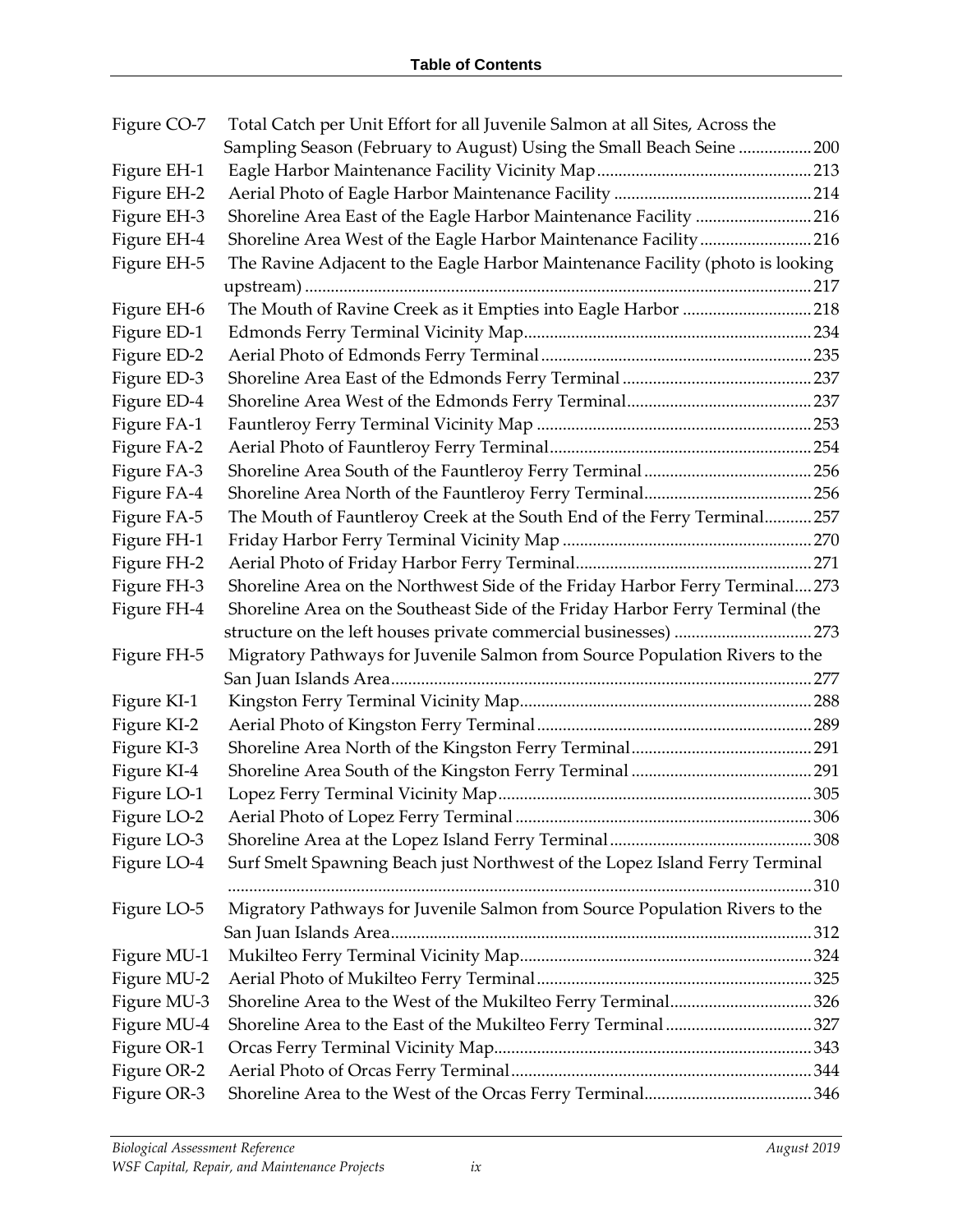| Figure CO-7 | Total Catch per Unit Effort for all Juvenile Salmon at all Sites, Across the   |  |
|-------------|--------------------------------------------------------------------------------|--|
|             | Sampling Season (February to August) Using the Small Beach Seine 200           |  |
| Figure EH-1 |                                                                                |  |
| Figure EH-2 |                                                                                |  |
| Figure EH-3 | Shoreline Area East of the Eagle Harbor Maintenance Facility 216               |  |
| Figure EH-4 | Shoreline Area West of the Eagle Harbor Maintenance Facility216                |  |
| Figure EH-5 | The Ravine Adjacent to the Eagle Harbor Maintenance Facility (photo is looking |  |
|             |                                                                                |  |
| Figure EH-6 | The Mouth of Ravine Creek as it Empties into Eagle Harbor 218                  |  |
| Figure ED-1 |                                                                                |  |
| Figure ED-2 |                                                                                |  |
| Figure ED-3 |                                                                                |  |
| Figure ED-4 |                                                                                |  |
| Figure FA-1 |                                                                                |  |
| Figure FA-2 |                                                                                |  |
| Figure FA-3 |                                                                                |  |
| Figure FA-4 |                                                                                |  |
| Figure FA-5 | The Mouth of Fauntleroy Creek at the South End of the Ferry Terminal 257       |  |
| Figure FH-1 |                                                                                |  |
| Figure FH-2 |                                                                                |  |
| Figure FH-3 | Shoreline Area on the Northwest Side of the Friday Harbor Ferry Terminal273    |  |
| Figure FH-4 | Shoreline Area on the Southeast Side of the Friday Harbor Ferry Terminal (the  |  |
|             |                                                                                |  |
| Figure FH-5 | Migratory Pathways for Juvenile Salmon from Source Population Rivers to the    |  |
|             |                                                                                |  |
| Figure KI-1 |                                                                                |  |
| Figure KI-2 |                                                                                |  |
| Figure KI-3 |                                                                                |  |
| Figure KI-4 |                                                                                |  |
| Figure LO-1 |                                                                                |  |
| Figure LO-2 |                                                                                |  |
| Figure LO-3 |                                                                                |  |
| Figure LO-4 | Surf Smelt Spawning Beach just Northwest of the Lopez Island Ferry Terminal    |  |
|             |                                                                                |  |
| Figure LO-5 | Migratory Pathways for Juvenile Salmon from Source Population Rivers to the    |  |
|             |                                                                                |  |
| Figure MU-1 |                                                                                |  |
| Figure MU-2 |                                                                                |  |
| Figure MU-3 | Shoreline Area to the West of the Mukilteo Ferry Terminal326                   |  |
| Figure MU-4 | Shoreline Area to the East of the Mukilteo Ferry Terminal327                   |  |
| Figure OR-1 |                                                                                |  |
| Figure OR-2 |                                                                                |  |
| Figure OR-3 |                                                                                |  |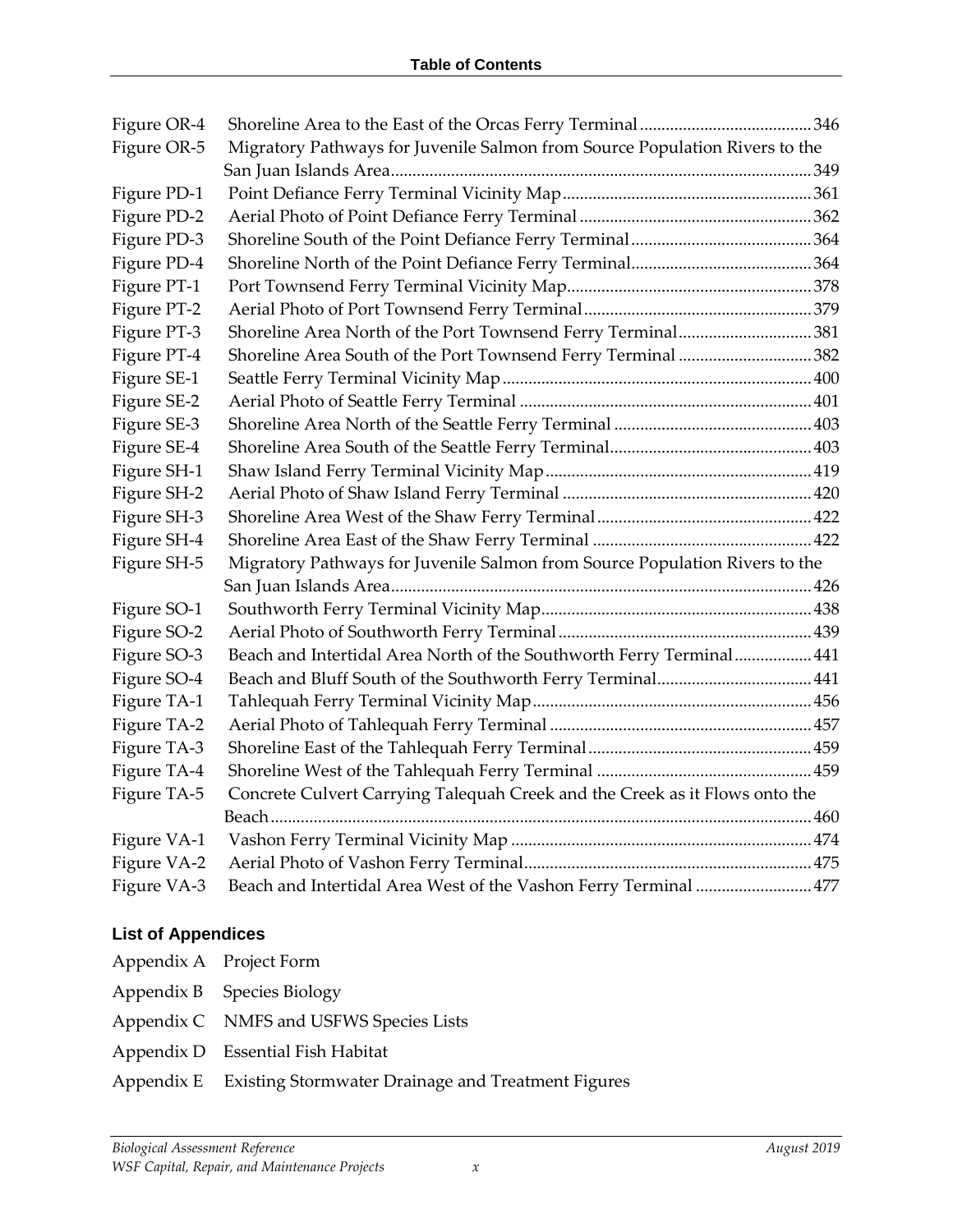| Figure OR-4 |                                                                             |  |
|-------------|-----------------------------------------------------------------------------|--|
| Figure OR-5 | Migratory Pathways for Juvenile Salmon from Source Population Rivers to the |  |
|             |                                                                             |  |
| Figure PD-1 |                                                                             |  |
| Figure PD-2 |                                                                             |  |
| Figure PD-3 |                                                                             |  |
| Figure PD-4 |                                                                             |  |
| Figure PT-1 |                                                                             |  |
| Figure PT-2 |                                                                             |  |
| Figure PT-3 | Shoreline Area North of the Port Townsend Ferry Terminal381                 |  |
| Figure PT-4 | Shoreline Area South of the Port Townsend Ferry Terminal 382                |  |
| Figure SE-1 |                                                                             |  |
| Figure SE-2 |                                                                             |  |
| Figure SE-3 |                                                                             |  |
| Figure SE-4 |                                                                             |  |
| Figure SH-1 |                                                                             |  |
| Figure SH-2 |                                                                             |  |
| Figure SH-3 |                                                                             |  |
| Figure SH-4 |                                                                             |  |
| Figure SH-5 | Migratory Pathways for Juvenile Salmon from Source Population Rivers to the |  |
|             |                                                                             |  |
| Figure SO-1 |                                                                             |  |
| Figure SO-2 |                                                                             |  |
| Figure SO-3 | Beach and Intertidal Area North of the Southworth Ferry Terminal 441        |  |
| Figure SO-4 |                                                                             |  |
| Figure TA-1 |                                                                             |  |
| Figure TA-2 |                                                                             |  |
| Figure TA-3 |                                                                             |  |
| Figure TA-4 |                                                                             |  |
| Figure TA-5 | Concrete Culvert Carrying Talequah Creek and the Creek as it Flows onto the |  |
|             |                                                                             |  |
| Figure VA-1 |                                                                             |  |
| Figure VA-2 |                                                                             |  |
| Figure VA-3 | Beach and Intertidal Area West of the Vashon Ferry Terminal  477            |  |

#### **List of Appendices**

- Appendix A Project Form
- Appendix B Species Biology
- Appendix C NMFS and USFWS Species Lists
- Appendix D Essential Fish Habitat
- Appendix E Existing Stormwater Drainage and Treatment Figures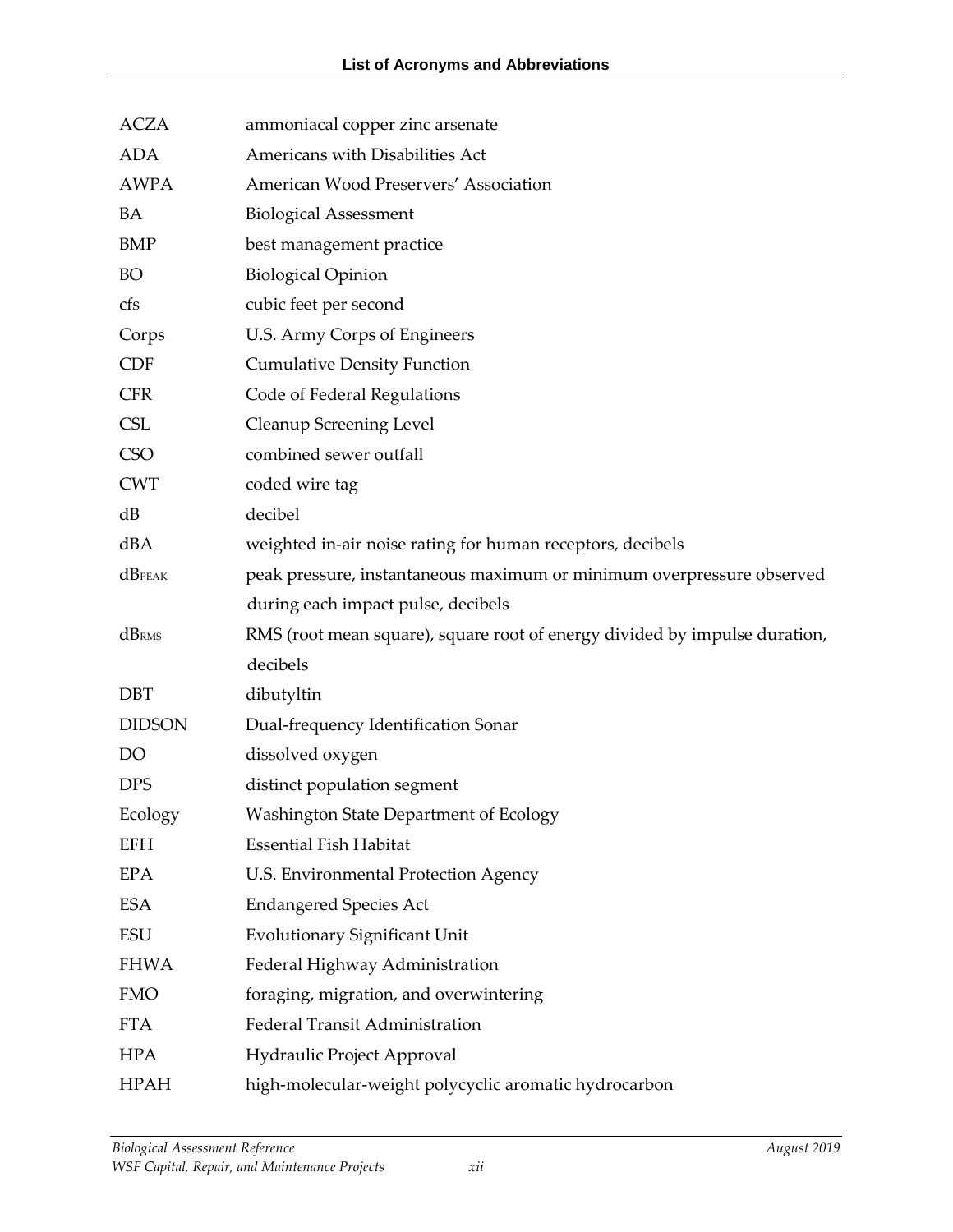| <b>ACZA</b>   | ammoniacal copper zinc arsenate                                            |
|---------------|----------------------------------------------------------------------------|
| <b>ADA</b>    | Americans with Disabilities Act                                            |
| <b>AWPA</b>   | American Wood Preservers' Association                                      |
| BA            | <b>Biological Assessment</b>                                               |
| <b>BMP</b>    | best management practice                                                   |
| <b>BO</b>     | <b>Biological Opinion</b>                                                  |
| cfs           | cubic feet per second                                                      |
| Corps         | U.S. Army Corps of Engineers                                               |
| <b>CDF</b>    | <b>Cumulative Density Function</b>                                         |
| <b>CFR</b>    | Code of Federal Regulations                                                |
| <b>CSL</b>    | Cleanup Screening Level                                                    |
| <b>CSO</b>    | combined sewer outfall                                                     |
| <b>CWT</b>    | coded wire tag                                                             |
| dB            | decibel                                                                    |
| dBA           | weighted in-air noise rating for human receptors, decibels                 |
| $dB$ PEAK     | peak pressure, instantaneous maximum or minimum overpressure observed      |
|               | during each impact pulse, decibels                                         |
| dBRMS         | RMS (root mean square), square root of energy divided by impulse duration, |
|               | decibels                                                                   |
| <b>DBT</b>    | dibutyltin                                                                 |
| <b>DIDSON</b> | Dual-frequency Identification Sonar                                        |
| DO            | dissolved oxygen                                                           |
| <b>DPS</b>    | distinct population segment                                                |
| Ecology       | <b>Washington State Department of Ecology</b>                              |
| <b>EFH</b>    | <b>Essential Fish Habitat</b>                                              |
| <b>EPA</b>    | U.S. Environmental Protection Agency                                       |
| <b>ESA</b>    | <b>Endangered Species Act</b>                                              |
| <b>ESU</b>    | <b>Evolutionary Significant Unit</b>                                       |
| <b>FHWA</b>   | Federal Highway Administration                                             |
| <b>FMO</b>    | foraging, migration, and overwintering                                     |
| <b>FTA</b>    | Federal Transit Administration                                             |
| <b>HPA</b>    | Hydraulic Project Approval                                                 |
| <b>HPAH</b>   | high-molecular-weight polycyclic aromatic hydrocarbon                      |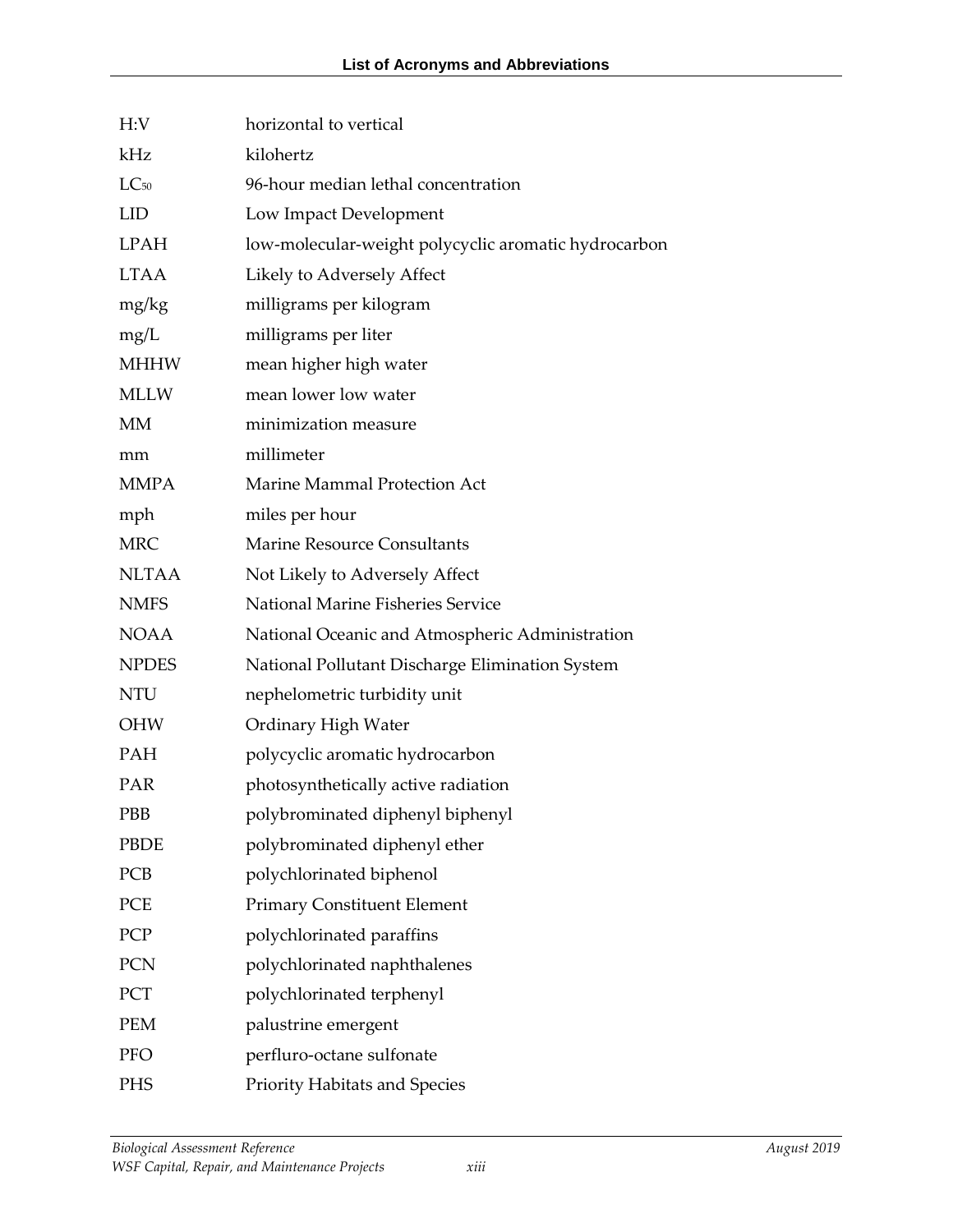| H:V          | horizontal to vertical                               |
|--------------|------------------------------------------------------|
| kHz          | kilohertz                                            |
| $LC_{50}$    | 96-hour median lethal concentration                  |
| <b>LID</b>   | Low Impact Development                               |
| <b>LPAH</b>  | low-molecular-weight polycyclic aromatic hydrocarbon |
| <b>LTAA</b>  | Likely to Adversely Affect                           |
| mg/kg        | milligrams per kilogram                              |
| mg/L         | milligrams per liter                                 |
| <b>MHHW</b>  | mean higher high water                               |
| <b>MLLW</b>  | mean lower low water                                 |
| MM           | minimization measure                                 |
| mm           | millimeter                                           |
| <b>MMPA</b>  | Marine Mammal Protection Act                         |
| mph          | miles per hour                                       |
| <b>MRC</b>   | <b>Marine Resource Consultants</b>                   |
| <b>NLTAA</b> | Not Likely to Adversely Affect                       |
| <b>NMFS</b>  | National Marine Fisheries Service                    |
| <b>NOAA</b>  | National Oceanic and Atmospheric Administration      |
| <b>NPDES</b> | National Pollutant Discharge Elimination System      |
| <b>NTU</b>   | nephelometric turbidity unit                         |
| OHW          | Ordinary High Water                                  |
| PAH          | polycyclic aromatic hydrocarbon                      |
| PAR          | photosynthetically active radiation                  |
| PBB          | polybrominated diphenyl biphenyl                     |
| <b>PBDE</b>  | polybrominated diphenyl ether                        |
| PCB          | polychlorinated biphenol                             |
| PCE          | <b>Primary Constituent Element</b>                   |
| PCP          | polychlorinated paraffins                            |
| PCN          | polychlorinated naphthalenes                         |
| PCT          | polychlorinated terphenyl                            |
| <b>PEM</b>   | palustrine emergent                                  |
| <b>PFO</b>   | perfluro-octane sulfonate                            |
| <b>PHS</b>   | <b>Priority Habitats and Species</b>                 |